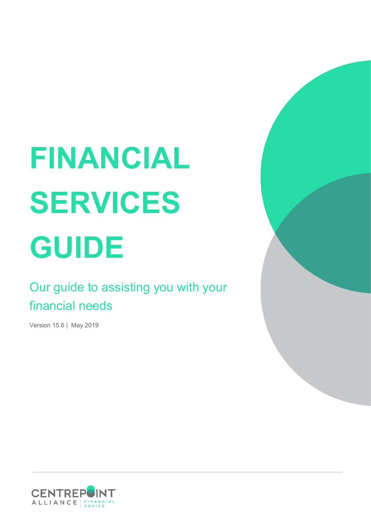# **FINANCIAL SERVICES GUIDE**

# Our guide to assisting you with your financial needs

Version 15.6 | May 2019



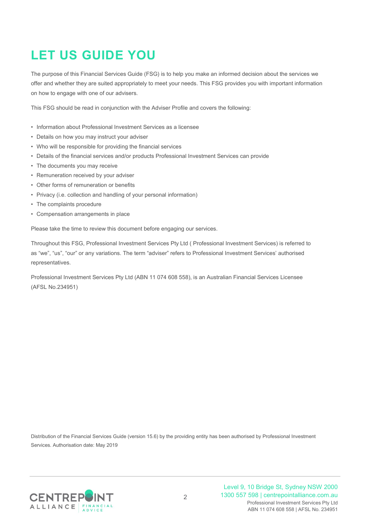# **LET US GUIDE YOU**

The purpose of this Financial Services Guide (FSG) is to help you make an informed decision about the services we offer and whether they are suited appropriately to meet your needs. This FSG provides you with important information on how to engage with one of our advisers.

This FSG should be read in conjunction with the Adviser Profile and covers the following:

- Information about Professional Investment Services as a licensee
- Details on how you may instruct your adviser
- Who will be responsible for providing the financial services
- Details of the financial services and/or products Professional Investment Services can provide
- The documents you may receive
- Remuneration received by your adviser
- Other forms of remuneration or benefits
- Privacy (i.e. collection and handling of your personal information)
- The complaints procedure
- Compensation arrangements in place

Please take the time to review this document before engaging our services.

Throughout this FSG, Professional Investment Services Pty Ltd ( Professional Investment Services) is referred to as "we", "us", "our" or any variations. The term "adviser" refers to Professional Investment Services' authorised representatives.

Professional Investment Services Pty Ltd (ABN 11 074 608 558), is an Australian Financial Services Licensee (AFSL No.234951)

Distribution of the Financial Services Guide (version 15.6) by the providing entity has been authorised by Professional Investment Services. Authorisation date: May 2019

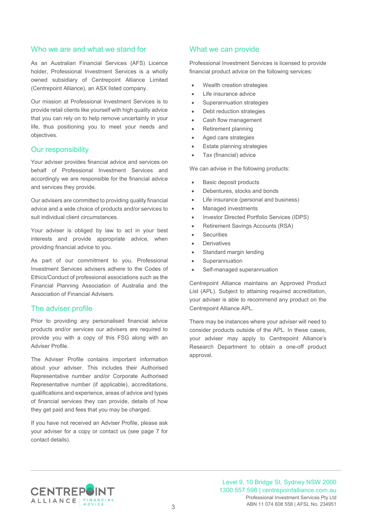### Who we are and what we stand for

As an Australian Financial Services (AFS) Licence holder, Professional Investment Services is a wholly owned subsidiary of Centrepoint Alliance Limited (Centrepoint Alliance), an ASX listed company.

Our mission at Professional Investment Services is to provide retail clients like yourself with high quality advice that you can rely on to help remove uncertainty in your life, thus positioning you to meet your needs and objectives.

#### Our responsibility

Your adviser provides financial advice and services on behalf of Professional Investment Services and accordingly we are responsible for the financial advice and services they provide.

Our advisers are committed to providing quality financial advice and a wide choice of products and/or services to suit individual client circumstances.

Your adviser is obliged by law to act in your best interests and provide appropriate advice, when providing financial advice to you.

As part of our commitment to you, Professional Investment Services advisers adhere to the Codes of Ethics/Conduct of professional associations such as the Financial Planning Association of Australia and the Association of Financial Advisers.

#### The adviser profile

Prior to providing any personalised financial advice products and/or services our advisers are required to provide you with a copy of this FSG along with an Adviser Profile.

The Adviser Profile contains important information about your adviser. This includes their Authorised Representative number and/or Corporate Authorised Representative number (if applicable), accreditations, qualifications and experience, areas of advice and types of financial services they can provide, details of how they get paid and fees that you may be charged.

If you have not received an Adviser Profile, please ask your adviser for a copy or contact us (see page 7 for contact details).

#### What we can provide

Professional Investment Services is licensed to provide financial product advice on the following services:

- Wealth creation strategies
- Life insurance advice
- Superannuation strategies
- Debt reduction strategies
- Cash flow management
- Retirement planning
- Aged care strategies
- Estate planning strategies
- Tax (financial) advice

We can advise in the following products:

- Basic deposit products
- Debentures, stocks and bonds
- Life insurance (personal and business)
- Managed investments
- Investor Directed Portfolio Services (IDPS)
- Retirement Savings Accounts (RSA)
- **Securities**
- **Derivatives**
- Standard margin lending
- **Superannuation**
- Self-managed superannuation

Centrepoint Alliance maintains an Approved Product List (APL). Subject to attaining required accreditation, your adviser is able to recommend any product on the Centrepoint Alliance APL.

There may be instances where your adviser will need to consider products outside of the APL. In these cases, your adviser may apply to Centrepoint Alliance's Research Department to obtain a one-off product approval.

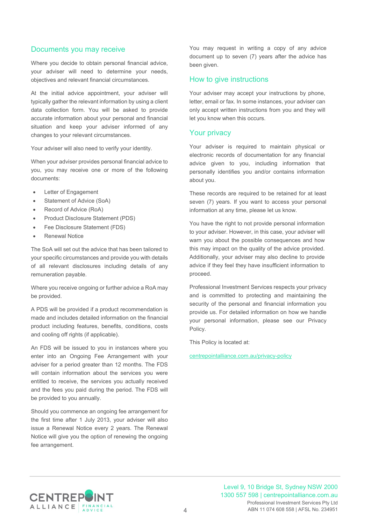## Documents you may receive

Where you decide to obtain personal financial advice, your adviser will need to determine your needs, objectives and relevant financial circumstances.

At the initial advice appointment, your adviser will typically gather the relevant information by using a client data collection form. You will be asked to provide accurate information about your personal and financial situation and keep your adviser informed of any changes to your relevant circumstances.

Your adviser will also need to verify your identity.

When your adviser provides personal financial advice to you, you may receive one or more of the following documents:

- Letter of Engagement
- Statement of Advice (SoA)
- Record of Advice (RoA)
- Product Disclosure Statement (PDS)
- Fee Disclosure Statement (FDS)
- **Renewal Notice**

The SoA will set out the advice that has been tailored to your specific circumstances and provide you with details of all relevant disclosures including details of any remuneration payable.

Where you receive ongoing or further advice a RoA may be provided.

A PDS will be provided if a product recommendation is made and includes detailed information on the financial product including features, benefits, conditions, costs and cooling off rights (if applicable).

An FDS will be issued to you in instances where you enter into an Ongoing Fee Arrangement with your adviser for a period greater than 12 months. The FDS will contain information about the services you were entitled to receive, the services you actually received and the fees you paid during the period. The FDS will be provided to you annually.

Should you commence an ongoing fee arrangement for the first time after 1 July 2013, your adviser will also issue a Renewal Notice every 2 years. The Renewal Notice will give you the option of renewing the ongoing fee arrangement.

You may request in writing a copy of any advice document up to seven (7) years after the advice has been given.

#### How to give instructions

Your adviser may accept your instructions by phone, letter, email or fax. In some instances, your adviser can only accept written instructions from you and they will let you know when this occurs.

#### Your privacy

Your adviser is required to maintain physical or electronic records of documentation for any financial advice given to you, including information that personally identifies you and/or contains information about you.

These records are required to be retained for at least seven (7) years. If you want to access your personal information at any time, please let us know.

You have the right to not provide personal information to your adviser. However, in this case, your adviser will warn you about the possible consequences and how this may impact on the quality of the advice provided. Additionally, your adviser may also decline to provide advice if they feel they have insufficient information to proceed.

Professional Investment Services respects your privacy and is committed to protecting and maintaining the security of the personal and financial information you provide us. For detailed information on how we handle your personal information, please see our Privacy Policy.

This Policy is located at:

[centrepointalliance.com.au/privacy-policy](http://www.centrepointalliance.com.au/privacy-policy/)

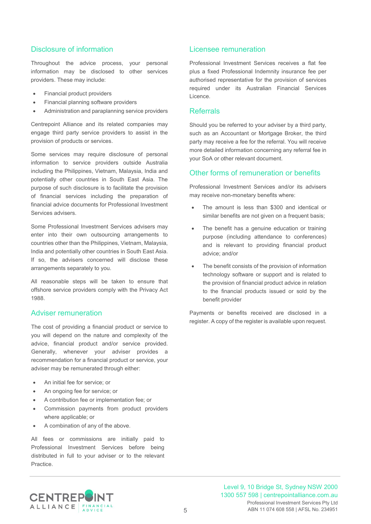## Disclosure of information

Throughout the advice process, your personal information may be disclosed to other services providers. These may include:

- Financial product providers
- Financial planning software providers
- Administration and paraplanning service providers

Centrepoint Alliance and its related companies may engage third party service providers to assist in the provision of products or services.

Some services may require disclosure of personal information to service providers outside Australia including the Philippines, Vietnam, Malaysia, India and potentially other countries in South East Asia. The purpose of such disclosure is to facilitate the provision of financial services including the preparation of financial advice documents for Professional Investment Services advisers.

Some Professional Investment Services advisers may enter into their own outsourcing arrangements to countries other than the Philippines, Vietnam, Malaysia, India and potentially other countries in South East Asia. If so, the advisers concerned will disclose these arrangements separately to you.

All reasonable steps will be taken to ensure that offshore service providers comply with the Privacy Act 1988.

### Adviser remuneration

The cost of providing a financial product or service to you will depend on the nature and complexity of the advice, financial product and/or service provided. Generally, whenever your adviser provides a recommendation for a financial product or service, your adviser may be remunerated through either:

- An initial fee for service; or
- An ongoing fee for service; or
- A contribution fee or implementation fee; or
- Commission payments from product providers where applicable; or
- A combination of any of the above.

All fees or commissions are initially paid to Professional Investment Services before being distributed in full to your adviser or to the relevant Practice.

## Licensee remuneration

Professional Investment Services receives a flat fee plus a fixed Professional Indemnity insurance fee per authorised representative for the provision of services required under its Australian Financial Services Licence.

#### **Referrals**

Should you be referred to your adviser by a third party, such as an Accountant or Mortgage Broker, the third party may receive a fee for the referral. You will receive more detailed information concerning any referral fee in your SoA or other relevant document.

#### Other forms of remuneration or benefits

Professional Investment Services and/or its advisers may receive non-monetary benefits where:

- The amount is less than \$300 and identical or similar benefits are not given on a frequent basis;
- The benefit has a genuine education or training purpose (including attendance to conferences) and is relevant to providing financial product advice; and/or
- The benefit consists of the provision of information technology software or support and is related to the provision of financial product advice in relation to the financial products issued or sold by the benefit provider

Payments or benefits received are disclosed in a register. A copy of the register is available upon request.

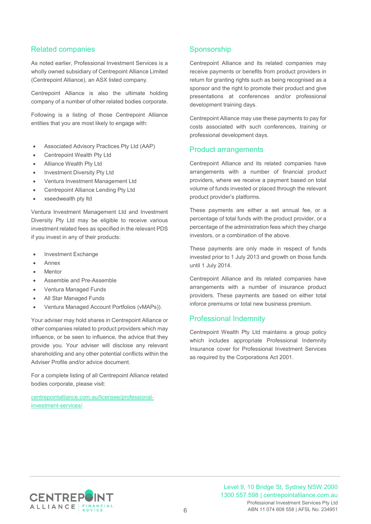# Related companies

As noted earlier, Professional Investment Services is a wholly owned subsidiary of Centrepoint Alliance Limited (Centrepoint Alliance), an ASX listed company.

Centrepoint Alliance is also the ultimate holding company of a number of other related bodies corporate.

Following is a listing of those Centrepoint Alliance entities that you are most likely to engage with:

- Associated Advisory Practices Pty Ltd (AAP)
- Centrepoint Wealth Pty Ltd
- Alliance Wealth Pty Ltd
- Investment Diversity Pty Ltd
- Ventura Investment Management Ltd
- Centrepoint Alliance Lending Pty Ltd
- xseedwealth pty ltd

Ventura Investment Management Ltd and Investment Diversity Pty Ltd may be eligible to receive various investment related fees as specified in the relevant PDS if you invest in any of their products:

- Investment Exchange
- Annex
- **Mentor**
- Assemble and Pre-Assemble
- Ventura Managed Funds
- All Star Managed Funds
- Ventura Managed Account Portfolios (vMAPs)).

Your adviser may hold shares in Centrepoint Alliance or other companies related to product providers which may influence, or be seen to influence, the advice that they provide you. Your adviser will disclose any relevant shareholding and any other potential conflicts within the Adviser Profile and/or advice document.

For a complete listing of all Centrepoint Alliance related bodies corporate, please visit:

[centrepointalliance.com.au/licensee/professional](https://www.centrepointalliance.com.au/licensee/professional-investment-services/)[investment-services/](https://www.centrepointalliance.com.au/licensee/professional-investment-services/)

# **Sponsorship**

Centrepoint Alliance and its related companies may receive payments or benefits from product providers in return for granting rights such as being recognised as a sponsor and the right to promote their product and give presentations at conferences and/or professional development training days.

Centrepoint Alliance may use these payments to pay for costs associated with such conferences, training or professional development days.

#### Product arrangements

Centrepoint Alliance and its related companies have arrangements with a number of financial product providers, where we receive a payment based on total volume of funds invested or placed through the relevant product provider's platforms.

These payments are either a set annual fee, or a percentage of total funds with the product provider, or a percentage of the administration fees which they charge investors, or a combination of the above.

These payments are only made in respect of funds invested prior to 1 July 2013 and growth on those funds until 1 July 2014.

Centrepoint Alliance and its related companies have arrangements with a number of insurance product providers. These payments are based on either total inforce premiums or total new business premium.

## Professional Indemnity

Centrepoint Wealth Pty Ltd maintains a group policy which includes appropriate Professional Indemnity Insurance cover for Professional Investment Services as required by the Corporations Act 2001.